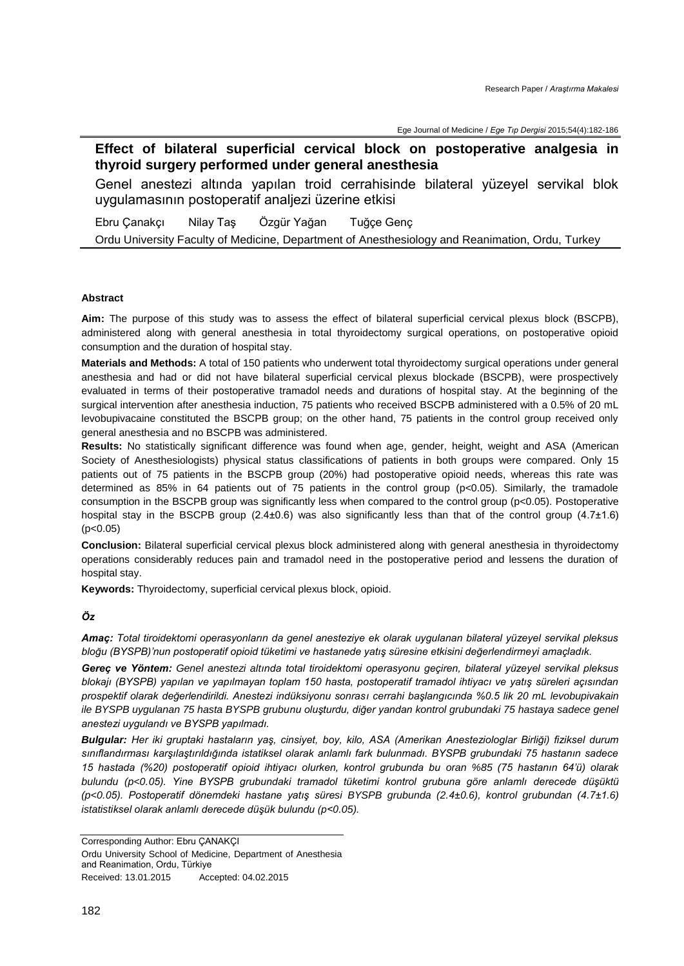Ege Journal of Medicine / *Ege Tıp Dergisi* 2015;54(4):182-186

**Effect of bilateral superficial cervical block on postoperative analgesia in thyroid surgery performed under general anesthesia**

Genel anestezi altında yapılan troid cerrahisinde bilateral yüzeyel servikal blok uygulamasının postoperatif analjezi üzerine etkisi

Ebru Çanakçı Nilay Taş Özgür Yağan Tuğçe Genç Ordu University Faculty of Medicine, Department of Anesthesiology and Reanimation, Ordu, Turkey

# **Abstract**

**Aim:** The purpose of this study was to assess the effect of bilateral superficial cervical plexus block (BSCPB), administered along with general anesthesia in total thyroidectomy surgical operations, on postoperative opioid consumption and the duration of hospital stay.

**Materials and Methods:** A total of 150 patients who underwent total thyroidectomy surgical operations under general anesthesia and had or did not have bilateral superficial cervical plexus blockade (BSCPB), were prospectively evaluated in terms of their postoperative tramadol needs and durations of hospital stay. At the beginning of the surgical intervention after anesthesia induction, 75 patients who received BSCPB administered with a 0.5% of 20 mL levobupivacaine constituted the BSCPB group; on the other hand, 75 patients in the control group received only general anesthesia and no BSCPB was administered.

**Results:** No statistically significant difference was found when age, gender, height, weight and ASA [\(American](http://www.asahq.org/)  [Society of Anesthesiologists\)](http://www.asahq.org/) physical status classifications of patients in both groups were compared. Only 15 patients out of 75 patients in the BSCPB group (20%) had postoperative opioid needs, whereas this rate was determined as 85% in 64 patients out of 75 patients in the control group (p<0.05). Similarly, the tramadole consumption in the BSCPB group was significantly less when compared to the control group (p<0.05). Postoperative hospital stay in the BSCPB group (2.4±0.6) was also significantly less than that of the control group (4.7±1.6)  $(p<0.05)$ 

**Conclusion:** Bilateral superficial cervical plexus block administered along with general anesthesia in thyroidectomy operations considerably reduces pain and tramadol need in the postoperative period and lessens the duration of hospital stay.

**Keywords:** Thyroidectomy, superficial cervical plexus block, opioid.

*Öz*

*Amaç: Total tiroidektomi operasyonların da genel anesteziye ek olarak uygulanan bilateral yüzeyel servikal pleksus bloğu (BYSPB)'nun postoperatif opioid tüketimi ve hastanede yatış süresine etkisini değerlendirmeyi amaçladık.*

*Gereç ve Yöntem: Genel anestezi altında total tiroidektomi operasyonu geçiren, bilateral yüzeyel servikal pleksus blokajı (BYSPB) yapılan ve yapılmayan toplam 150 hasta, postoperatif tramadol ihtiyacı ve yatış süreleri açısından prospektif olarak değerlendirildi. Anestezi indüksiyonu sonrası cerrahi başlangıcında %0.5 lik 20 mL levobupivakain ile BYSPB uygulanan 75 hasta BYSPB grubunu oluşturdu, diğer yandan kontrol grubundaki 75 hastaya sadece genel anestezi uygulandı ve BYSPB yapılmadı.*

*Bulgular: Her iki gruptaki hastaların yaş, cinsiyet, boy, kilo, ASA (Amerikan Anesteziologlar Birliği) fiziksel durum sınıflandırması karşılaştırıldığında istatiksel olarak anlamlı fark bulunmadı. BYSPB grubundaki 75 hastanın sadece 15 hastada (%20) postoperatif opioid ihtiyacı olurken, kontrol grubunda bu oran %85 (75 hastanın 64'ü) olarak bulundu (p<0.05). Yine BYSPB grubundaki tramadol tüketimi kontrol grubuna göre anlamlı derecede düşüktü (p<0.05). Postoperatif dönemdeki hastane yatış süresi BYSPB grubunda (2.4±0.6), kontrol grubundan (4.7±1.6) istatistiksel olarak anlamlı derecede düşük bulundu (p<0.05).*

Corresponding Author: Ebru ÇANAKÇI Ordu University School of Medicine, Department of Anesthesia and Reanimation, Ordu, Türkiye Received: 13.01.2015 Accepted: 04.02.2015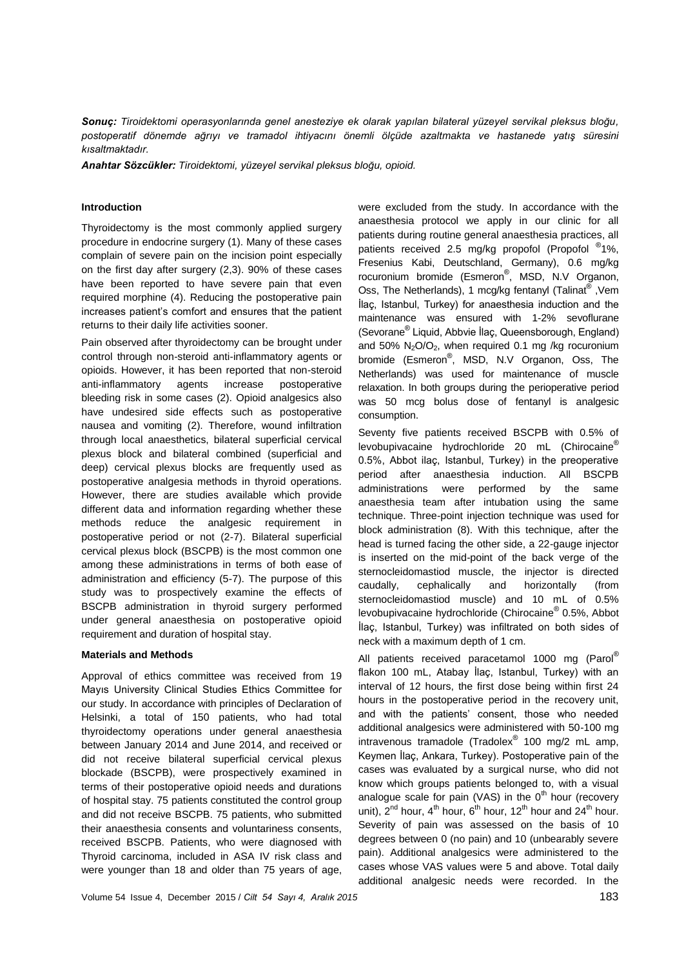*Sonuç: Tiroidektomi operasyonlarında genel anesteziye ek olarak yapılan bilateral yüzeyel servikal pleksus bloğu, postoperatif dönemde ağrıyı ve tramadol ihtiyacını önemli ölçüde azaltmakta ve hastanede yatış süresini kısaltmaktadır.*

*Anahtar Sözcükler: Tiroidektomi, yüzeyel servikal pleksus bloğu, opioid.*

## **Introduction**

Thyroidectomy is the most commonly applied surgery procedure in endocrine surgery (1). Many of these cases complain of severe pain on the incision point especially on the first day after surgery (2,3). 90% of these cases have been reported to have severe pain that even required morphine (4). Reducing the postoperative pain increases patient's comfort and ensures that the patient returns to their daily life activities sooner.

Pain observed after thyroidectomy can be brought under control through non-steroid anti-inflammatory agents or opioids. However, it has been reported that non-steroid anti-inflammatory agents increase postoperative bleeding risk in some cases (2). Opioid analgesics also have undesired side effects such as postoperative nausea and vomiting (2). Therefore, wound infiltration through local anaesthetics, bilateral superficial cervical plexus block and bilateral combined (superficial and deep) cervical plexus blocks are frequently used as postoperative analgesia methods in thyroid operations. However, there are studies available which provide different data and information regarding whether these methods reduce the analgesic requirement in postoperative period or not (2-7). Bilateral superficial cervical plexus block (BSCPB) is the most common one among these administrations in terms of both ease of administration and efficiency (5-7). The purpose of this study was to prospectively examine the effects of BSCPB administration in thyroid surgery performed under general anaesthesia on postoperative opioid requirement and duration of hospital stay.

## **Materials and Methods**

Approval of ethics committee was received from 19 Mayıs University Clinical Studies Ethics Committee for our study. In accordance with principles of Declaration of Helsinki, a total of 150 patients, who had total thyroidectomy operations under general anaesthesia between January 2014 and June 2014, and received or did not receive bilateral superficial cervical plexus blockade (BSCPB), were prospectively examined in terms of their postoperative opioid needs and durations of hospital stay. 75 patients constituted the control group and did not receive BSCPB. 75 patients, who submitted their anaesthesia consents and voluntariness consents, received BSCPB. Patients, who were diagnosed with Thyroid carcinoma, included in ASA IV risk class and were younger than 18 and older than 75 years of age, were excluded from the study. In accordance with the anaesthesia protocol we apply in our clinic for all patients during routine general anaesthesia practices, all patients received 2.5 mg/kg propofol (Propofol ®1%, Fresenius Kabi, Deutschland, Germany), 0.6 mg/kg rocuronium bromide (Esmeron<sup>®</sup>, MSD, N.V Organon, Oss, The Netherlands), 1 mcg/kg fentanyl (Talinat®, Vem İlaç, Istanbul, Turkey) for anaesthesia induction and the maintenance was ensured with 1-2% sevoflurane (Sevorane® Liquid, Abbvie İlaç, Queensborough, England) and 50%  $N_2O/O_2$ , when required 0.1 mg /kg rocuronium bromide (Esmeron®, MSD, N.V Organon, Oss, The Netherlands) was used for maintenance of muscle relaxation. In both groups during the perioperative period was 50 mcg bolus dose of fentanyl is analgesic consumption.

Seventy five patients received BSCPB with 0.5% of levobupivacaine hydrochloride 20 mL (Chirocaine® 0.5%, Abbot ilaç, Istanbul, Turkey) in the preoperative period after anaesthesia induction. All BSCPB administrations were performed by the same anaesthesia team after intubation using the same technique. Three-point injection technique was used for block administration (8). With this technique, after the head is turned facing the other side, a 22-gauge injector is inserted on the mid-point of the back verge of the sternocleidomastiod muscle, the injector is directed caudally, cephalically and horizontally (from sternocleidomastiod muscle) and 10 mL of 0.5% levobupivacaine hydrochloride (Chirocaine® 0.5%, Abbot İlaç, Istanbul, Turkey) was infiltrated on both sides of neck with a maximum depth of 1 cm.

All patients received paracetamol 1000 mg (Parol® flakon 100 mL, Atabay İlaç, Istanbul, Turkey) with an interval of 12 hours, the first dose being within first 24 hours in the postoperative period in the recovery unit, and with the patients' consent, those who needed additional analgesics were administered with 50-100 mg intravenous tramadole (Tradolex® 100 mg/2 mL amp, Keymen İlaç, Ankara, Turkey). Postoperative pain of the cases was evaluated by a surgical nurse, who did not know which groups patients belonged to, with a visual analogue scale for pain (VAS) in the  $0<sup>th</sup>$  hour (recovery unit),  $2^{nd}$  hour,  $4^{th}$  hour,  $6^{th}$  hour,  $12^{th}$  hour and  $24^{th}$  hour. Severity of pain was assessed on the basis of 10 degrees between 0 (no pain) and 10 (unbearably severe pain). Additional analgesics were administered to the cases whose VAS values were 5 and above. Total daily additional analgesic needs were recorded. In the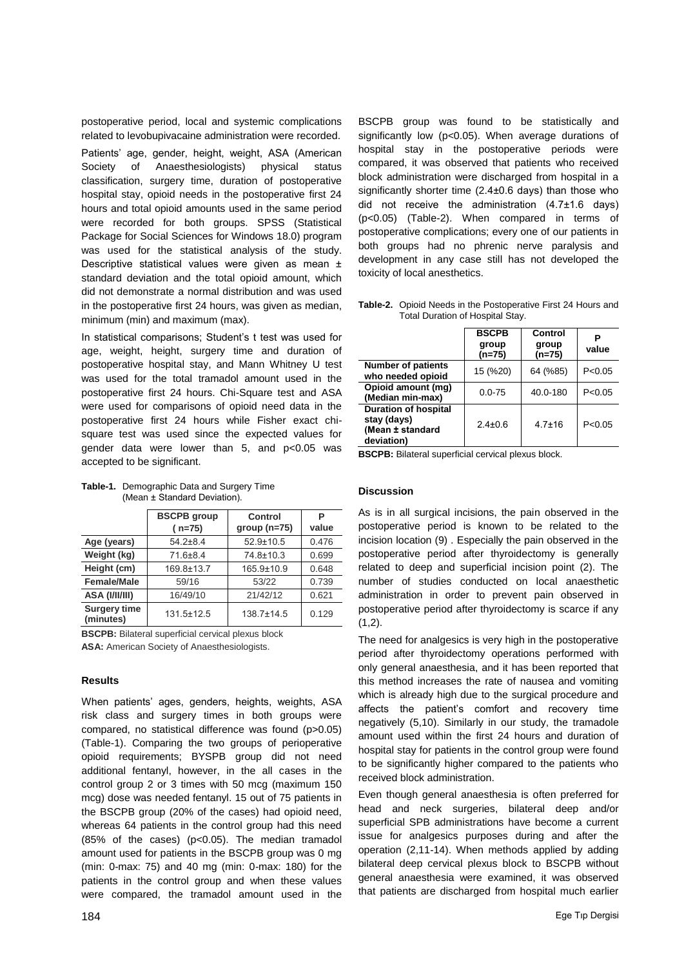postoperative period, local and systemic complications related to levobupivacaine administration were recorded.

Patients' age, gender, height, weight, ASA (American Society of Anaesthesiologists) physical status classification, surgery time, duration of postoperative hospital stay, opioid needs in the postoperative first 24 hours and total opioid amounts used in the same period were recorded for both groups. SPSS (Statistical Package for Social Sciences for Windows 18.0) program was used for the statistical analysis of the study. Descriptive statistical values were given as mean ± standard deviation and the total opioid amount, which did not demonstrate a normal distribution and was used in the postoperative first 24 hours, was given as median, minimum (min) and maximum (max).

In statistical comparisons; Student's t test was used for age, weight, height, surgery time and duration of postoperative hospital stay, and Mann Whitney U test was used for the total tramadol amount used in the postoperative first 24 hours. Chi-Square test and ASA were used for comparisons of opioid need data in the postoperative first 24 hours while Fisher exact chisquare test was used since the expected values for gender data were lower than 5, and p<0.05 was accepted to be significant.

|                                  | <b>BSCPB</b> group<br>$(n=75)$ | Control<br>group $(n=75)$ | Р<br>value |
|----------------------------------|--------------------------------|---------------------------|------------|
| Age (years)                      | $54.2 \pm 8.4$                 | $52.9 \pm 10.5$           | 0.476      |
| Weight (kg)                      | 71.6±8.4                       | 74.8±10.3                 | 0.699      |
| Height (cm)                      | 169.8±13.7                     | 165.9±10.9                | 0.648      |
| <b>Female/Male</b>               | 59/16                          | 53/22                     | 0.739      |
| ASA (I/II/III)                   | 16/49/10                       | 21/42/12                  | 0.621      |
| <b>Surgery time</b><br>(minutes) | $131.5 \pm 12.5$               | $138.7 \pm 14.5$          | 0.129      |

**Table-1.** Demographic Data and Surgery Time (Mean ± Standard Deviation).

**BSCPB:** Bilateral superficial cervical plexus block **ASA:** American Society of Anaesthesiologists.

## **Results**

When patients' ages, genders, heights, weights, ASA risk class and surgery times in both groups were compared, no statistical difference was found (p>0.05) (Table-1). Comparing the two groups of perioperative opioid requirements; BYSPB group did not need additional fentanyl, however, in the all cases in the control group 2 or 3 times with 50 mcg (maximum 150 mcg) dose was needed fentanyl. 15 out of 75 patients in the BSCPB group (20% of the cases) had opioid need, whereas 64 patients in the control group had this need (85% of the cases) (p<0.05). The median tramadol amount used for patients in the BSCPB group was 0 mg (min: 0-max: 75) and 40 mg (min: 0-max: 180) for the patients in the control group and when these values were compared, the tramadol amount used in the

BSCPB group was found to be statistically and significantly low (p<0.05). When average durations of hospital stay in the postoperative periods were compared, it was observed that patients who received block administration were discharged from hospital in a significantly shorter time (2.4±0.6 days) than those who did not receive the administration (4.7±1.6 days) (p<0.05) (Table-2). When compared in terms of postoperative complications; every one of our patients in both groups had no phrenic nerve paralysis and development in any case still has not developed the toxicity of local anesthetics.

**Table-2.** Opioid Needs in the Postoperative First 24 Hours and Total Duration of Hospital Stay.

|                                                                              | <b>BSCPB</b><br>group<br>$(n=75)$ | Control<br>group<br>$(n=75)$ | value    |
|------------------------------------------------------------------------------|-----------------------------------|------------------------------|----------|
| <b>Number of patients</b><br>who needed opioid                               | 15 (%20)                          | 64 (%85)                     | P < 0.05 |
| Opioid amount (mq)<br>(Median min-max)                                       | $0.0 - 75$                        | 40.0-180                     | P < 0.05 |
| <b>Duration of hospital</b><br>stay (days)<br>(Mean ± standard<br>deviation) | $2.4 \pm 0.6$                     | $4.7 \pm 16$                 | P < 0.05 |

**BSCPB:** Bilateral superficial cervical plexus block.

## **Discussion**

As is in all surgical incisions, the pain observed in the postoperative period is known to be related to the incision location (9) . Especially the pain observed in the postoperative period after thyroidectomy is generally related to deep and superficial incision point (2). The number of studies conducted on local anaesthetic administration in order to prevent pain observed in postoperative period after thyroidectomy is scarce if any  $(1,2)$ .

The need for analgesics is very high in the postoperative period after thyroidectomy operations performed with only general anaesthesia, and it has been reported that this method increases the rate of nausea and vomiting which is already high due to the surgical procedure and affects the patient's comfort and recovery time negatively (5,10). Similarly in our study, the tramadole amount used within the first 24 hours and duration of hospital stay for patients in the control group were found to be significantly higher compared to the patients who received block administration.

Even though general anaesthesia is often preferred for head and neck surgeries, bilateral deep and/or superficial SPB administrations have become a current issue for analgesics purposes during and after the operation (2,11-14). When methods applied by adding bilateral deep cervical plexus block to BSCPB without general anaesthesia were examined, it was observed that patients are discharged from hospital much earlier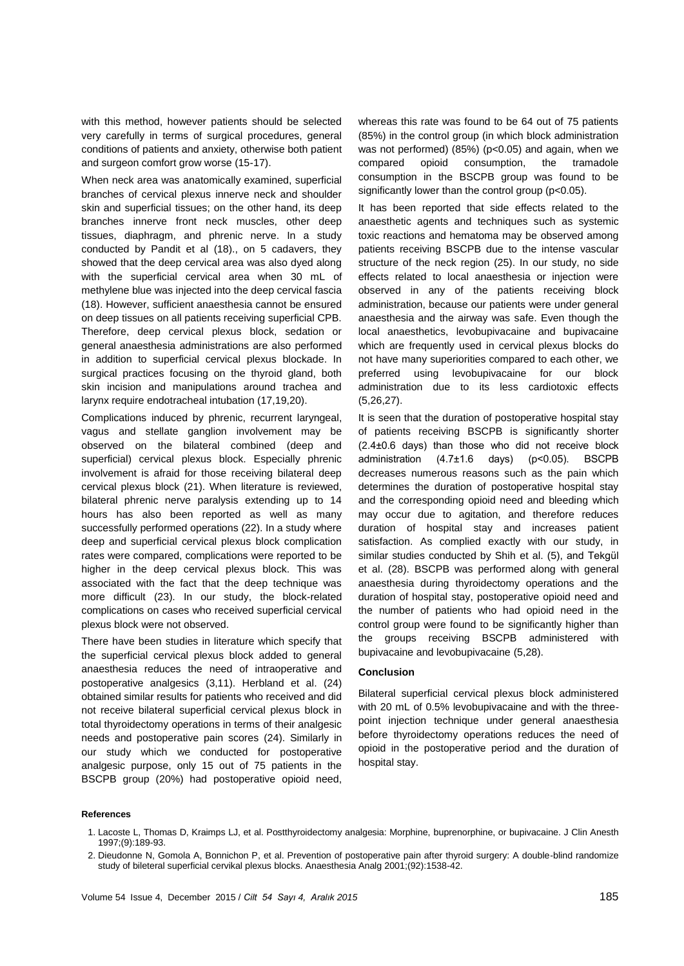with this method, however patients should be selected very carefully in terms of surgical procedures, general conditions of patients and anxiety, otherwise both patient and surgeon comfort grow worse (15-17).

When neck area was anatomically examined, superficial branches of cervical plexus innerve neck and shoulder skin and superficial tissues; on the other hand, its deep branches innerve front neck muscles, other deep tissues, diaphragm, and phrenic nerve. In a study conducted by Pandit et al (18)., on 5 cadavers, they showed that the deep cervical area was also dyed along with the superficial cervical area when 30 mL of methylene blue was injected into the deep cervical fascia (18). However, sufficient anaesthesia cannot be ensured on deep tissues on all patients receiving superficial CPB. Therefore, deep cervical plexus block, sedation or general anaesthesia administrations are also performed in addition to superficial cervical plexus blockade. In surgical practices focusing on the thyroid gland, both skin incision and manipulations around trachea and larynx require endotracheal intubation (17,19,20).

Complications induced by phrenic, recurrent laryngeal, vagus and stellate ganglion involvement may be observed on the bilateral combined (deep and superficial) cervical plexus block. Especially phrenic involvement is afraid for those receiving bilateral deep cervical plexus block (21). When literature is reviewed, bilateral phrenic nerve paralysis extending up to 14 hours has also been reported as well as many successfully performed operations (22). In a study where deep and superficial cervical plexus block complication rates were compared, complications were reported to be higher in the deep cervical plexus block. This was associated with the fact that the deep technique was more difficult (23). In our study, the block-related complications on cases who received superficial cervical plexus block were not observed.

There have been studies in literature which specify that the superficial cervical plexus block added to general anaesthesia reduces the need of intraoperative and postoperative analgesics (3,11). Herbland et al. (24) obtained similar results for patients who received and did not receive bilateral superficial cervical plexus block in total thyroidectomy operations in terms of their analgesic needs and postoperative pain scores (24). Similarly in our study which we conducted for postoperative analgesic purpose, only 15 out of 75 patients in the BSCPB group (20%) had postoperative opioid need,

whereas this rate was found to be 64 out of 75 patients (85%) in the control group (in which block administration was not performed) (85%) (p<0.05) and again, when we compared opioid consumption, the tramadole consumption in the BSCPB group was found to be significantly lower than the control group (p<0.05).

It has been reported that side effects related to the anaesthetic agents and techniques such as systemic toxic reactions and hematoma may be observed among patients receiving BSCPB due to the intense vascular structure of the neck region (25). In our study, no side effects related to local anaesthesia or injection were observed in any of the patients receiving block administration, because our patients were under general anaesthesia and the airway was safe. Even though the local anaesthetics, levobupivacaine and bupivacaine which are frequently used in cervical plexus blocks do not have many superiorities compared to each other, we preferred using levobupivacaine for our block administration due to its less cardiotoxic effects (5,26,27).

It is seen that the duration of postoperative hospital stay of patients receiving BSCPB is significantly shorter (2.4±0.6 days) than those who did not receive block administration (4.7±1.6 days) (p<0.05). BSCPB decreases numerous reasons such as the pain which determines the duration of postoperative hospital stay and the corresponding opioid need and bleeding which may occur due to agitation, and therefore reduces duration of hospital stay and increases patient satisfaction. As complied exactly with our study, in similar studies conducted by Shih et al. (5), and Tekgül et al. (28). BSCPB was performed along with general anaesthesia during thyroidectomy operations and the duration of hospital stay, postoperative opioid need and the number of patients who had opioid need in the control group were found to be significantly higher than the groups receiving BSCPB administered with bupivacaine and levobupivacaine (5,28).

## **Conclusion**

Bilateral superficial cervical plexus block administered with 20 mL of 0.5% levobupivacaine and with the threepoint injection technique under general anaesthesia before thyroidectomy operations reduces the need of opioid in the postoperative period and the duration of hospital stay.

#### **References**

- 1. Lacoste L, Thomas D, Kraimps LJ, et al. Postthyroidectomy analgesia: Morphine, buprenorphine, or bupivacaine. J Clin Anesth 1997;(9):189-93.
- 2. Dieudonne N, Gomola A, Bonnichon P, et al. Prevention of postoperative pain after thyroid surgery: A double-blind randomize study of bileteral superficial cervikal plexus blocks. Anaesthesia Analg 2001;(92):1538-42.